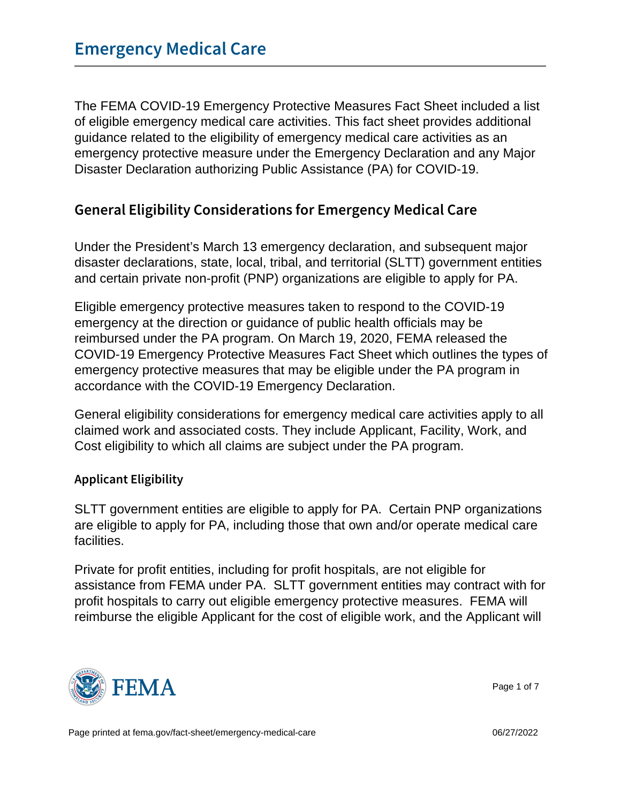The FEMA COVID-19 Emergency Protective Measures Fact Sheet included a list of eligible emergency medical care activities. This fact sheet provides additional guidance related to the eligibility of emergency medical care activities as an emergency protective measure under the Emergency Declaration and any Major Disaster Declaration authorizing Public Assistance (PA) for COVID-19.

## General Eligibility Considerations for Emergency I

Under the President's March 13 emergency declaration, and subsequent major disaster declarations, state, local, tribal, and territorial (SLTT) government entities and certain private non-profit (PNP) organizations are eligible to apply for PA.

Eligible emergency protective measures taken to respond to the COVID-19 emergency at the direction or guidance of public health officials may be reimbursed under the PA program. On March 19, 2020, FEMA released the COVID-19 Emergency Protective Measures Fact Sheet which outlines the types of emergency protective measures that may be eligible under the PA program in accordance with the COVID-19 Emergency Declaration.

General eligibility considerations for emergency medical care activities apply to all claimed work and associated costs. They include Applicant, Facility, Work, and Cost eligibility to which all claims are subject under the PA program.

Applicant Eligibility

SLTT government entities are eligible to apply for PA. Certain PNP organizations are eligible to apply for PA, including those that own and/or operate medical care facilities.

Private for profit entities, including for profit hospitals, are not eligible for assistance from FEMA under PA. SLTT government entities may contract with for profit hospitals to carry out eligible emergency protective measures. FEMA will reimburse the eligible Applicant for the cost of eligible work, and the Applicant will



Page 1 of 7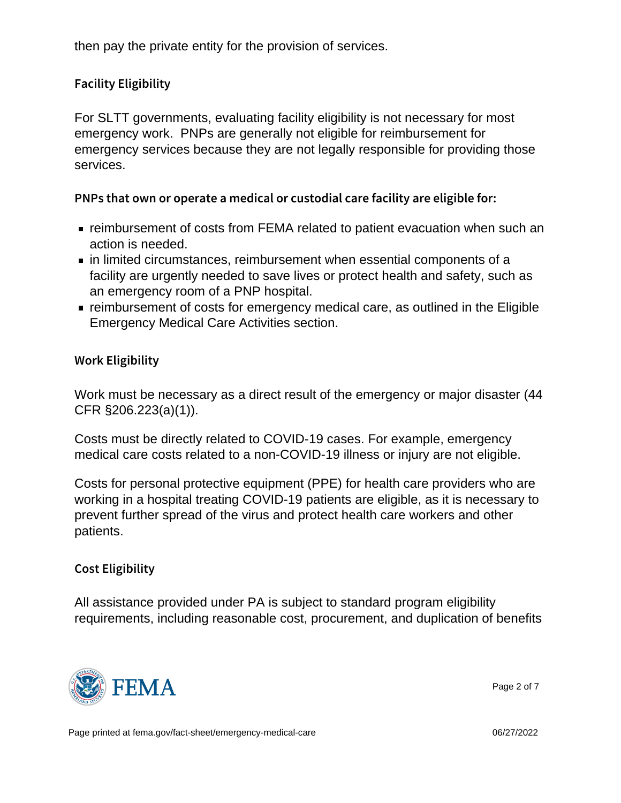then pay the private entity for the provision of services.

## Facility Eligibility

For SLTT governments, evaluating facility eligibility is not necessary for most emergency work. PNPs are generally not eligible for reimbursement for emergency services because they are not legally responsible for providing those services.

PNPs that own or operate a medical or custodial care facil

- reimbursement of costs from FEMA related to patient evacuation when such an action is needed.
- in limited circumstances, reimbursement when essential components of a facility are urgently needed to save lives or protect health and safety, such as an emergency room of a PNP hospital.
- reimbursement of costs for emergency medical care, as outlined in the Eligible Emergency Medical Care Activities section.

Work Eligibility

Work must be necessary as a direct result of the emergency or major disaster (44 CFR §206.223(a)(1)).

Costs must be directly related to COVID-19 cases. For example, emergency medical care costs related to a non-COVID-19 illness or injury are not eligible.

Costs for personal protective equipment (PPE) for health care providers who are working in a hospital treating COVID-19 patients are eligible, as it is necessary to prevent further spread of the virus and protect health care workers and other patients.

## Cost Eligibility

All assistance provided under PA is subject to standard program eligibility requirements, including reasonable cost, procurement, and duplication of benefits



Page 2 of 7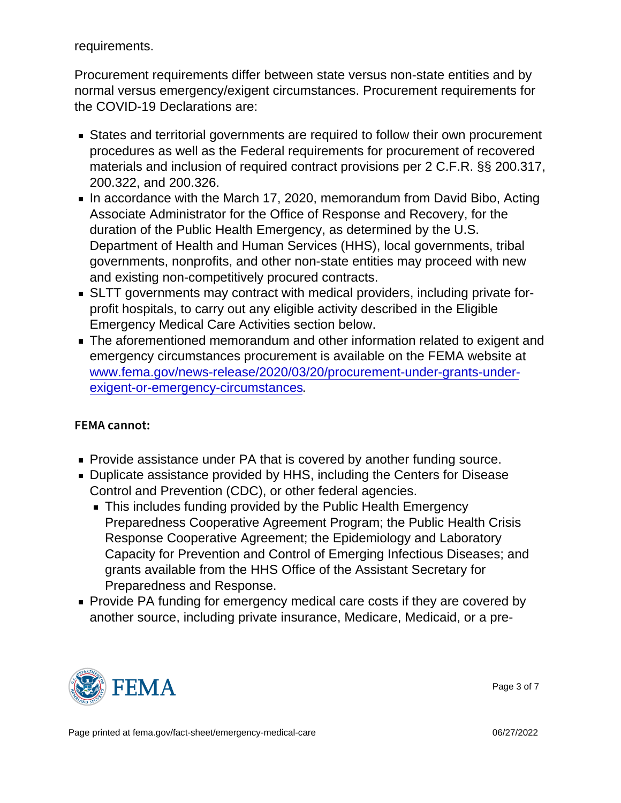requirements.

Procurement requirements differ between state versus non-state entities and by normal versus emergency/exigent circumstances. Procurement requirements for the COVID-19 Declarations are:

- States and territorial governments are required to follow their own procurement procedures as well as the Federal requirements for procurement of recovered materials and inclusion of required contract provisions per 2 C.F.R. §§ 200.317, 200.322, and 200.326.
- In accordance with the March 17, 2020, memorandum from David Bibo, Acting Associate Administrator for the Office of Response and Recovery, for the duration of the Public Health Emergency, as determined by the U.S. Department of Health and Human Services (HHS), local governments, tribal governments, nonprofits, and other non-state entities may proceed with new and existing non-competitively procured contracts.
- SLTT governments may contract with medical providers, including private forprofit hospitals, to carry out any eligible activity described in the Eligible Emergency Medical Care Activities section below.
- The aforementioned memorandum and other information related to exigent and emergency circumstances procurement is available on the FEMA website at [www.fema.gov/news-release/2020/03/20/procurement-under-grants-under](http://www.fema.gov/news-release/2020/03/20/procurement-under-grants-under-exigent-or-emergency-circumstances)[exigent-or-emergency-circumstances](http://www.fema.gov/news-release/2020/03/20/procurement-under-grants-under-exigent-or-emergency-circumstances).

FEMA cannot:

- **Provide assistance under PA that is covered by another funding source.**
- Duplicate assistance provided by HHS, including the Centers for Disease Control and Prevention (CDC), or other federal agencies.
	- This includes funding provided by the Public Health Emergency Preparedness Cooperative Agreement Program; the Public Health Crisis Response Cooperative Agreement; the Epidemiology and Laboratory Capacity for Prevention and Control of Emerging Infectious Diseases; and grants available from the HHS Office of the Assistant Secretary for Preparedness and Response.
- **Provide PA funding for emergency medical care costs if they are covered by** another source, including private insurance, Medicare, Medicaid, or a pre-



Page 3 of 7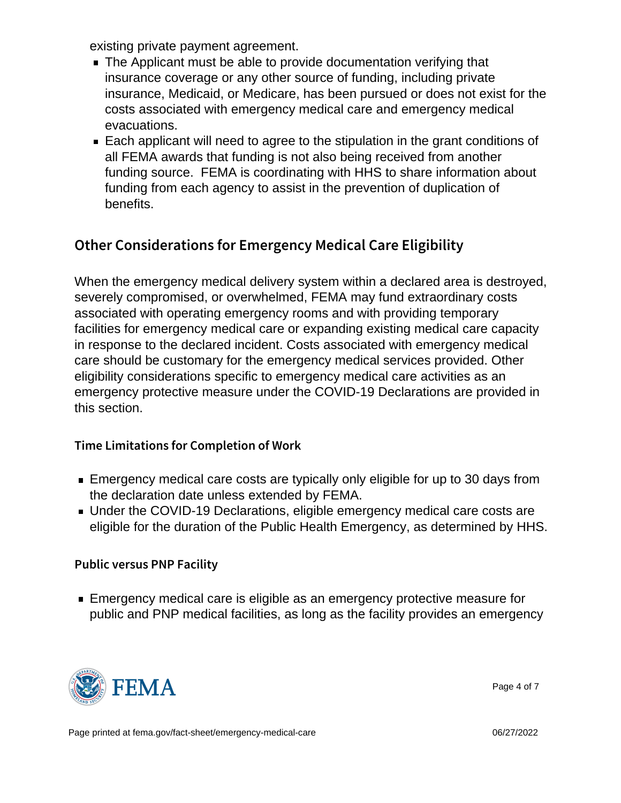existing private payment agreement.

- The Applicant must be able to provide documentation verifying that insurance coverage or any other source of funding, including private insurance, Medicaid, or Medicare, has been pursued or does not exist for the costs associated with emergency medical care and emergency medical evacuations.
- Each applicant will need to agree to the stipulation in the grant conditions of all FEMA awards that funding is not also being received from another funding source. FEMA is coordinating with HHS to share information about funding from each agency to assist in the prevention of duplication of benefits.

# Other Considerations for Emergency Medical Care

When the emergency medical delivery system within a declared area is destroyed, severely compromised, or overwhelmed, FEMA may fund extraordinary costs associated with operating emergency rooms and with providing temporary facilities for emergency medical care or expanding existing medical care capacity in response to the declared incident. Costs associated with emergency medical care should be customary for the emergency medical services provided. Other eligibility considerations specific to emergency medical care activities as an emergency protective measure under the COVID-19 Declarations are provided in this section.

## Time Limitations for Completion of Work

- **Emergency medical care costs are typically only eligible for up to 30 days from** the declaration date unless extended by FEMA.
- Under the COVID-19 Declarations, eligible emergency medical care costs are eligible for the duration of the Public Health Emergency, as determined by HHS.

#### Public versus PNP Facility

**Emergency medical care is eligible as an emergency protective measure for** public and PNP medical facilities, as long as the facility provides an emergency



Page 4 of 7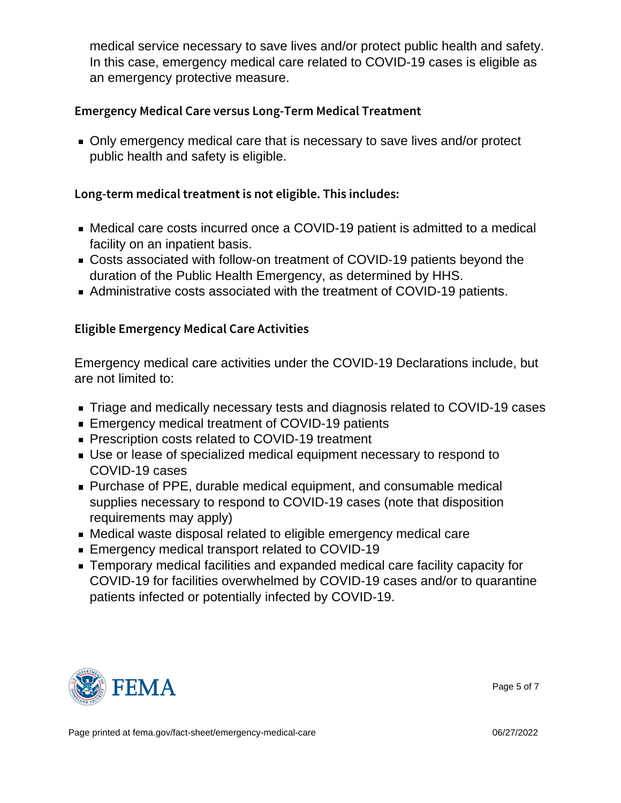medical service necessary to save lives and/or protect public health and safety. In this case, emergency medical care related to COVID-19 cases is eligible as an emergency protective measure.

Emergency Medical Care versus Long-Term Medical Treatm

Only emergency medical care that is necessary to save lives and/or protect public health and safety is eligible.

Long-term medical treatment is not eligible. This includes:

- Medical care costs incurred once a COVID-19 patient is admitted to a medical facility on an inpatient basis.
- Costs associated with follow-on treatment of COVID-19 patients beyond the duration of the Public Health Emergency, as determined by HHS.
- Administrative costs associated with the treatment of COVID-19 patients.

## Eligible Emergency Medical Care Activities

Emergency medical care activities under the COVID-19 Declarations include, but are not limited to:

- Triage and medically necessary tests and diagnosis related to COVID-19 cases
- Emergency medical treatment of COVID-19 patients
- **Prescription costs related to COVID-19 treatment**
- Use or lease of specialized medical equipment necessary to respond to COVID-19 cases
- Purchase of PPE, durable medical equipment, and consumable medical supplies necessary to respond to COVID-19 cases (note that disposition requirements may apply)
- Medical waste disposal related to eligible emergency medical care
- **Emergency medical transport related to COVID-19**
- Temporary medical facilities and expanded medical care facility capacity for COVID-19 for facilities overwhelmed by COVID-19 cases and/or to quarantine patients infected or potentially infected by COVID-19.



Page 5 of 7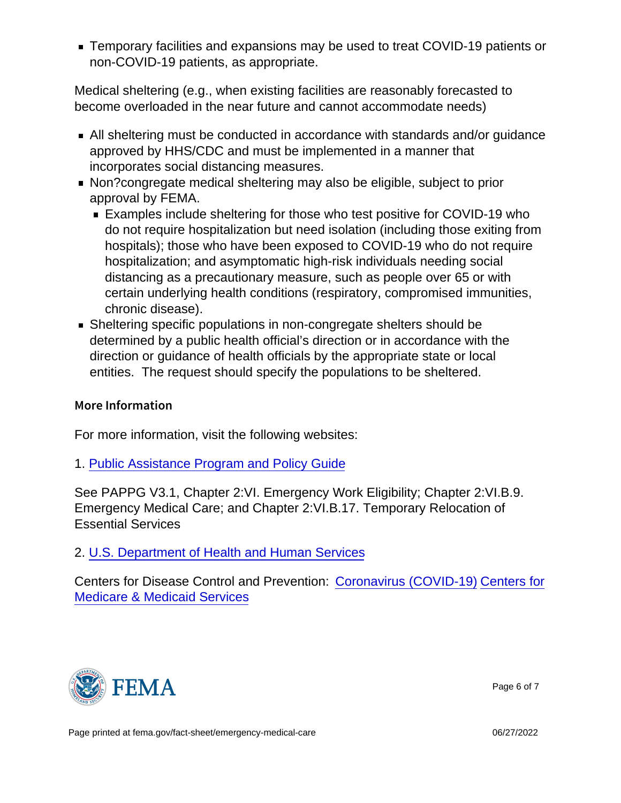Temporary facilities and expansions may be used to treat COVID-19 patients or non-COVID-19 patients, as appropriate.

Medical sheltering (e.g., when existing facilities are reasonably forecasted to become overloaded in the near future and cannot accommodate needs)

- All sheltering must be conducted in accordance with standards and/or guidance approved by HHS/CDC and must be implemented in a manner that incorporates social distancing measures.
- Non?congregate medical sheltering may also be eligible, subject to prior approval by FEMA.
	- Examples include sheltering for those who test positive for COVID-19 who do not require hospitalization but need isolation (including those exiting from hospitals); those who have been exposed to COVID-19 who do not require hospitalization; and asymptomatic high-risk individuals needing social distancing as a precautionary measure, such as people over 65 or with certain underlying health conditions (respiratory, compromised immunities, chronic disease).
- **Sheltering specific populations in non-congregate shelters should be** determined by a public health official's direction or in accordance with the direction or guidance of health officials by the appropriate state or local entities. The request should specify the populations to be sheltered.

### More Information

For more information, visit the following websites:

#### 1. [Public Assistance Program and Policy Guide](https://www.fema.gov/sites/default/files/2020-05/PAPPG_3.1_FINAL_5-4-2018.pdf)

See PAPPG V3.1, Chapter 2:VI. Emergency Work Eligibility; Chapter 2:VI.B.9. Emergency Medical Care; and Chapter 2:VI.B.17. Temporary Relocation of Essential Services

## 2. [U.S. Department of Health and Human Services](https://www.hhs.gov/)

Centers for Disease Control and Prevention: [Coronavirus \(COVID-19\)](https://www.cdc.gov/coronavirus/2019-nCoV/index.html) [Centers for](https://www.cms.gov/) [Medicare & Medicaid Services](https://www.cms.gov/)



Page 6 of 7